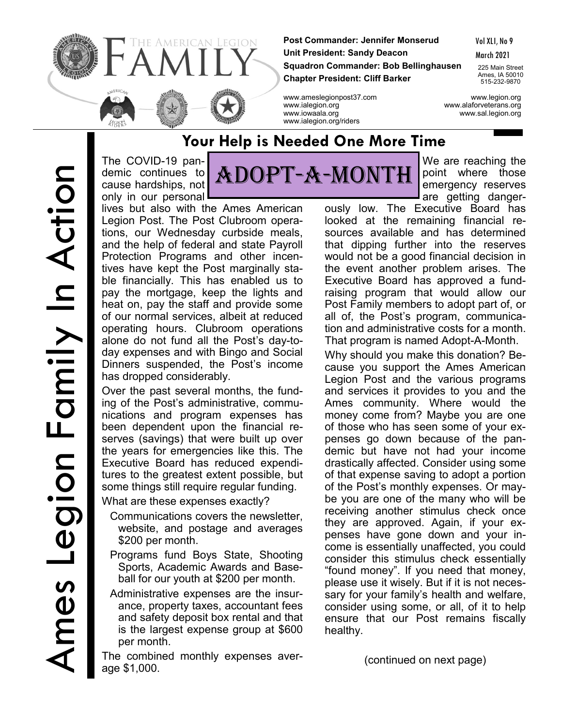

**Post Commander: Jennifer Monserud Unit President: Sandy Deacon Squadron Commander: Bob Bellinghausen Chapter President: Cliff Barker**

Vol XLI, No 9

March 2021

225 Main Street Ames, IA 50010 515-232-9870

www.ameslegionpost37.com www.legion.org www.ialegion.org www.alaforveterans.org www.iowaala.org www.sal.legion.org www.ialegion.org/riders

The COVID-19 pandemic continues to cause hardships, not only in our personal

lives but also with the Ames American Legion Post. The Post Clubroom operations, our Wednesday curbside meals, and the help of federal and state Payroll Protection Programs and other incentives have kept the Post marginally stable financially. This has enabled us to pay the mortgage, keep the lights and heat on, pay the staff and provide some of our normal services, albeit at reduced operating hours. Clubroom operations alone do not fund all the Post's day-today expenses and with Bingo and Social Dinners suspended, the Post's income has dropped considerably.

Over the past several months, the funding of the Post's administrative, communications and program expenses has been dependent upon the financial reserves (savings) that were built up over the years for emergencies like this. The Executive Board has reduced expenditures to the greatest extent possible, but some things still require regular funding.

What are these expenses exactly?

- Communications covers the newsletter, website, and postage and averages \$200 per month.
- Programs fund Boys State, Shooting Sports, Academic Awards and Baseball for our youth at \$200 per month.
- Administrative expenses are the insurance, property taxes, accountant fees and safety deposit box rental and that is the largest expense group at \$600 per month.

The combined monthly expenses average \$1,000.

Adopt-A-Month

**Your Help is Needed One More Time**

We are reaching the point where those emergency reserves are getting danger-

ously low. The Executive Board has looked at the remaining financial resources available and has determined that dipping further into the reserves would not be a good financial decision in the event another problem arises. The Executive Board has approved a fundraising program that would allow our Post Family members to adopt part of, or all of, the Post's program, communication and administrative costs for a month. That program is named Adopt-A-Month.

Why should you make this donation? Because you support the Ames American Legion Post and the various programs and services it provides to you and the Ames community. Where would the money come from? Maybe you are one of those who has seen some of your expenses go down because of the pandemic but have not had your income drastically affected. Consider using some of that expense saving to adopt a portion of the Post's monthly expenses. Or maybe you are one of the many who will be receiving another stimulus check once they are approved. Again, if your expenses have gone down and your income is essentially unaffected, you could consider this stimulus check essentially "found money". If you need that money, please use it wisely. But if it is not necessary for your family's health and welfare, consider using some, or all, of it to help ensure that our Post remains fiscally healthy.

(continued on next page)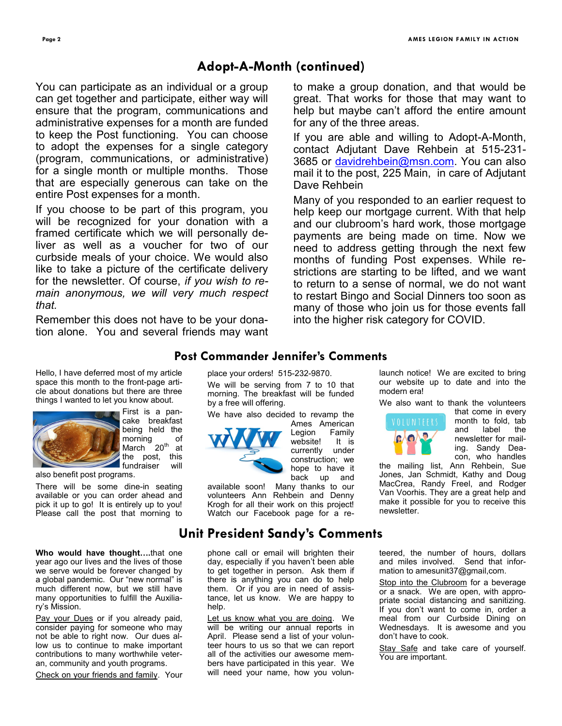**Page 2 AMES LEGION FAMILY IN ACTION**

## **Adopt-A-Month (continued)**

You can participate as an individual or a group can get together and participate, either way will ensure that the program, communications and administrative expenses for a month are funded to keep the Post functioning. You can choose to adopt the expenses for a single category (program, communications, or administrative) for a single month or multiple months. Those that are especially generous can take on the entire Post expenses for a month.

If you choose to be part of this program, you will be recognized for your donation with a framed certificate which we will personally deliver as well as a voucher for two of our curbside meals of your choice. We would also like to take a picture of the certificate delivery for the newsletter. Of course, *if you wish to remain anonymous, we will very much respect that.*

Remember this does not have to be your donation alone. You and several friends may want to make a group donation, and that would be great. That works for those that may want to help but maybe can't afford the entire amount for any of the three areas.

If you are able and willing to Adopt-A-Month, contact Adjutant Dave Rehbein at 515-231 3685 or [davidrehbein@msn.com.](about:blank) You can also mail it to the post, 225 Main, in care of Adjutant Dave Rehbein

Many of you responded to an earlier request to help keep our mortgage current. With that help and our clubroom's hard work, those mortgage payments are being made on time. Now we need to address getting through the next few months of funding Post expenses. While restrictions are starting to be lifted, and we want to return to a sense of normal, we do not want to restart Bingo and Social Dinners too soon as many of those who join us for those events fall into the higher risk category for COVID.

#### **Post Commander Jennifer's Comments**

Hello, I have deferred most of my article space this month to the front-page article about donations but there are three



First is a pancake breakfast being held the morning of March  $20<sup>th</sup>$  at the post, this fundraiser will

also benefit post programs.

There will be some dine-in seating available or you can order ahead and pick it up to go! It is entirely up to you! Please call the post that morning to

things I wanted to let you know about.

**Who would have thought….**that one year ago our lives and the lives of those we serve would be forever changed by a global pandemic. Our "new normal" is much different now, but we still have many opportunities to fulfill the Auxiliary's Mission.

Pay your Dues or if you already paid, consider paying for someone who may not be able to right now. Our dues allow us to continue to make important contributions to many worthwhile veteran, community and youth programs.

Check on your friends and family. Your

place your orders! 515-232-9870.

We will be serving from 7 to 10 that morning. The breakfast will be funded by a free will offering.

We have also decided to revamp the



Ames American Legion Family<br>website! It is website! currently under construction; we hope to have it back up and available soon! Many thanks to our

volunteers Ann Rehbein and Denny Krogh for all their work on this project! Watch our Facebook page for a re-

## **Unit President Sandy's Comments**

phone call or email will brighten their day, especially if you haven't been able to get together in person. Ask them if there is anything you can do to help them. Or if you are in need of assistance, let us know. We are happy to help.

Let us know what you are doing. We will be writing our annual reports in April. Please send a list of your volunteer hours to us so that we can report all of the activities our awesome members have participated in this year. We will need your name, how you volun-

launch notice! We are excited to bring our website up to date and into the modern era!

We also want to thank the volunteers



that come in every month to fold, tab and label the newsletter for mailing. Sandy Deacon, who handles

the mailing list, Ann Rehbein, Sue Jones, Jan Schmidt, Kathy and Doug MacCrea, Randy Freel, and Rodger Van Voorhis. They are a great help and make it possible for you to receive this newsletter.

teered, the number of hours, dollars and miles involved. Send that information to amesunit37@gmail,com.

Stop into the Clubroom for a beverage or a snack. We are open, with appropriate social distancing and sanitizing. If you don't want to come in, order a meal from our Curbside Dining on Wednesdays. It is awesome and you don't have to cook.

Stay Safe and take care of yourself. You are important.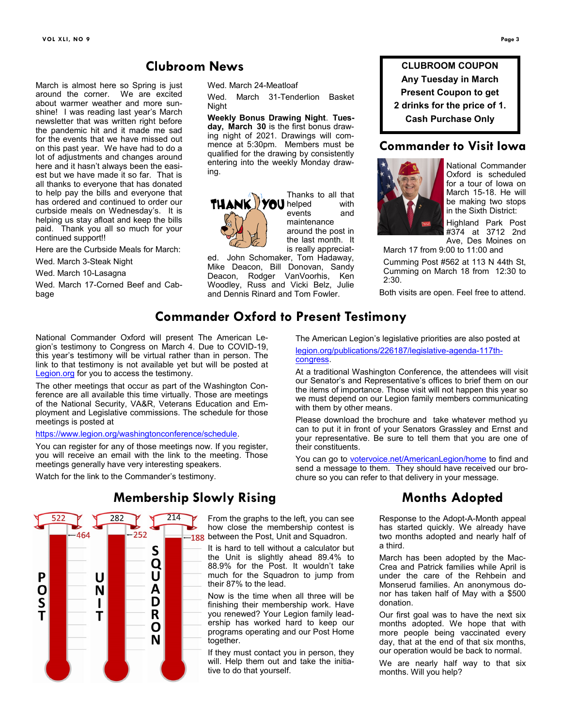### **Clubroom News**

March is almost here so Spring is just around the corner. We are excited about warmer weather and more sunshine! I was reading last year's March newsletter that was written right before the pandemic hit and it made me sad for the events that we have missed out on this past year. We have had to do a lot of adjustments and changes around here and it hasn't always been the easiest but we have made it so far. That is all thanks to everyone that has donated to help pay the bills and everyone that has ordered and continued to order our curbside meals on Wednesday's. It is helping us stay afloat and keep the bills paid. Thank you all so much for your continued support!!

Here are the Curbside Meals for March:

Wed. March 3-Steak Night

Wed. March 10-Lasagna

Wed. March 17-Corned Beef and Cabbage

Wed. March 24-Meatloaf

Wed. March 31-Tenderlion Basket Night

**Weekly Bonus Drawing Night**. **Tuesday, March 30** is the first bonus drawing night of 2021. Drawings will commence at 5:30pm. Members must be qualified for the drawing by consistently entering into the weekly Monday drawing.



Thanks to all that events and maintenance around the post in the last month. It is really appreciat-

[congress.](https://www.legion.org/publications/226187/legislative-agenda-117th-congress)

with them by other means.

their constituents.

ed. John Schomaker, Tom Hadaway, Mike Deacon, Bill Donovan, Sandy Deacon, Rodger VanVoorhis, Ken Woodley, Russ and Vicki Belz, Julie and Dennis Rinard and Tom Fowler.

**CLUBROOM COUPON Any Tuesday in March Present Coupon to get 2 drinks for the price of 1. Cash Purchase Only**

#### **Commander to Visit Iowa**



The American Legion's legislative priorities are also posted at [legion.org/publications/226187/legislative](https://www.legion.org/publications/226187/legislative-agenda-117th-congress)-agenda-117th-

At a traditional Washington Conference, the attendees will visit our Senator's and Representative's offices to brief them on our the items of importance. Those visit will not happen this year so we must depend on our Legion family members communicating

Please download the brochure and take whatever method yu can to put it in front of your Senators Grassley and Ernst and your representative. Be sure to tell them that you are one of

You can go to **[votervoice.net/AmericanLegion/home](https://www.votervoice.net/AmericanLegion/home)** to find and send a message to them. They should have received our brochure so you can refer to that delivery in your message.

National Commander Oxford is scheduled for a tour of Iowa on March 15-18. He will be making two stops in the Sixth District:

Highland Park Post #374 at 3712 2nd Ave, Des Moines on

March 17 from 9:00 to 11:00 and

Cumming Post #562 at 113 N 44th St, Cumming on March 18 from 12:30 to 2:30.

Both visits are open. Feel free to attend.

# **Commander Oxford to Present Testimony**

National Commander Oxford will present The American Legion's testimony to Congress on March 4. Due to COVID-19, this year's testimony will be virtual rather than in person. The link to that testimony is not available yet but will be posted at [Legion.org](https://www.legion.org/) for you to access the testimony.

The other meetings that occur as part of the Washington Conference are all available this time virtually. Those are meetings of the National Security, VA&R, Veterans Education and Employment and Legislative commissions. The schedule for those meetings is posted at

[https://www.legion.org/washingtonconference/schedule.](https://www.legion.org/washingtonconference/schedule)

You can register for any of those meetings now. If you register, you will receive an email with the link to the meeting. Those meetings generally have very interesting speakers.

Watch for the link to the Commander's testimony.



#### **Membership Slowly Rising**

From the graphs to the left, you can see how close the membership contest is 188 between the Post, Unit and Squadron.

It is hard to tell without a calculator but the Unit is slightly ahead 89.4% to 88.9% for the Post. It wouldn't take much for the Squadron to jump from their 87% to the lead.

Now is the time when all three will be finishing their membership work. Have you renewed? Your Legion family leadership has worked hard to keep our programs operating and our Post Home together.

If they must contact you in person, they will. Help them out and take the initiative to do that yourself.

# **Months Adopted**

Response to the Adopt-A-Month appeal has started quickly. We already have two months adopted and nearly half of a third.

March has been adopted by the Mac-Crea and Patrick families while April is under the care of the Rehbein and Monserud families. An anonymous donor has taken half of May with a \$500 donation.

Our first goal was to have the next six months adopted. We hope that with more people being vaccinated every day, that at the end of that six months, our operation would be back to normal.

We are nearly half way to that six months. Will you help?